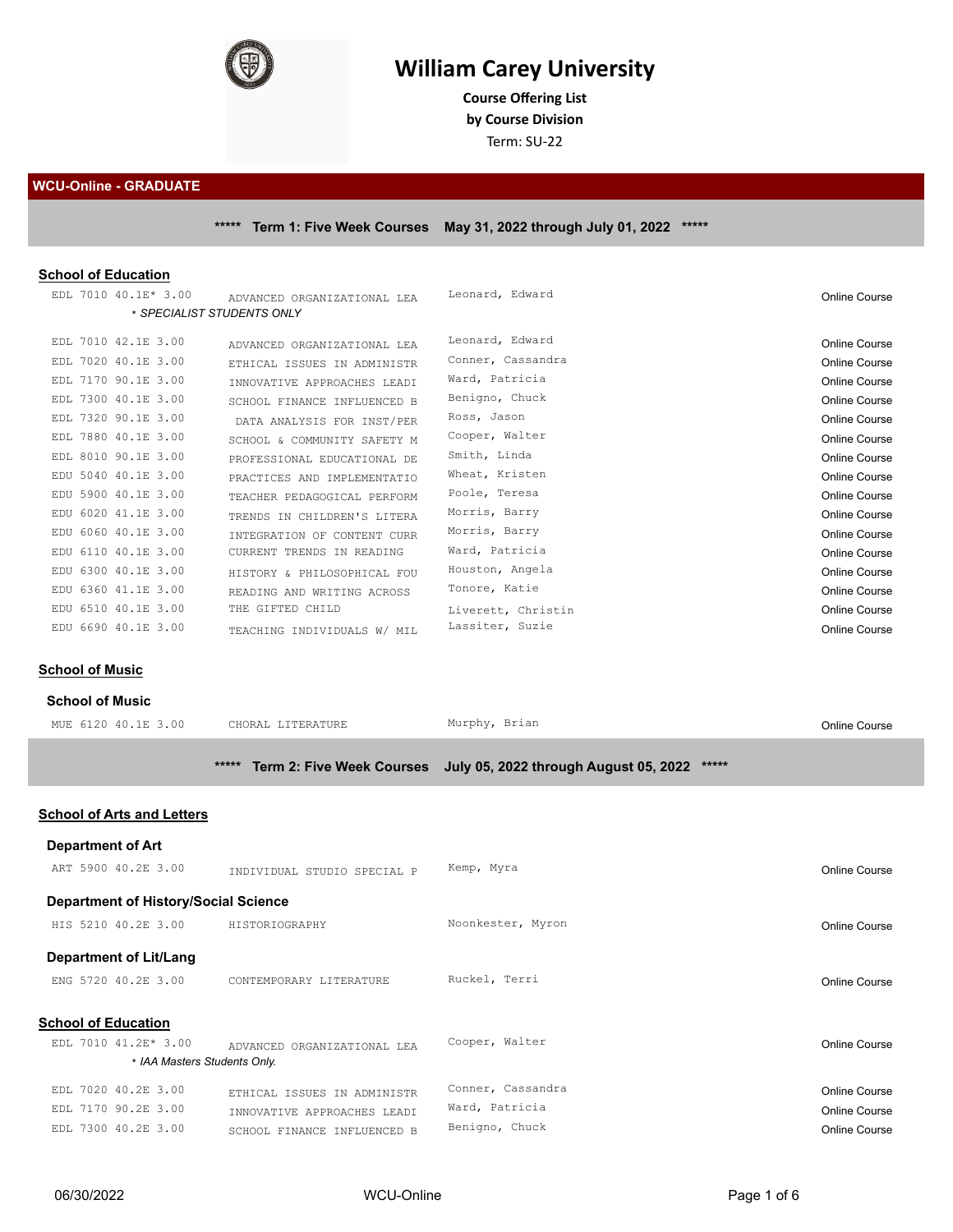

## **William Carey University**

**Course Ofering List by Course Division** Term: SU-22

**WCU-Online - GRADUATE**

**\*\*\*\*\* Term 1: Five Week Courses May 31, 2022 through July 01, 2022 \*\*\*\*\***

| <b>School of Education</b> |                             |                    |                      |
|----------------------------|-----------------------------|--------------------|----------------------|
| EDL 7010 40.1E* 3.00       | ADVANCED ORGANIZATIONAL LEA | Leonard, Edward    | <b>Online Course</b> |
|                            | * SPECIALIST STUDENTS ONLY  |                    |                      |
| EDL 7010 42.1E 3.00        | ADVANCED ORGANIZATIONAL LEA | Leonard, Edward    | <b>Online Course</b> |
| EDL 7020 40.1E 3.00        | ETHICAL ISSUES IN ADMINISTR | Conner, Cassandra  | <b>Online Course</b> |
| EDL 7170 90.1E 3.00        | INNOVATIVE APPROACHES LEADI | Ward, Patricia     | Online Course        |
| EDL 7300 40.1E 3.00        | SCHOOL FINANCE INFLUENCED B | Benigno, Chuck     | <b>Online Course</b> |
| EDL 7320 90.1E 3.00        | DATA ANALYSIS FOR INST/PER  | Ross, Jason        | <b>Online Course</b> |
| EDL 7880 40.1E 3.00        | SCHOOL & COMMUNITY SAFETY M | Cooper, Walter     | <b>Online Course</b> |
| EDL 8010 90.1E 3.00        | PROFESSIONAL EDUCATIONAL DE | Smith, Linda       | Online Course        |
| EDU 5040 40.1E 3.00        | PRACTICES AND IMPLEMENTATIO | Wheat, Kristen     | <b>Online Course</b> |
| EDU 5900 40.1E 3.00        | TEACHER PEDAGOGICAL PERFORM | Poole, Teresa      | <b>Online Course</b> |
| EDU 6020 41.1E 3.00        | TRENDS IN CHILDREN'S LITERA | Morris, Barry      | <b>Online Course</b> |
| EDU 6060 40.1E 3.00        | INTEGRATION OF CONTENT CURR | Morris, Barry      | <b>Online Course</b> |
| EDU 6110 40.1E 3.00        | CURRENT TRENDS IN READING   | Ward, Patricia     | Online Course        |
| EDU 6300 40.1E 3.00        | HISTORY & PHILOSOPHICAL FOU | Houston, Angela    | Online Course        |
| EDU 6360 41.1E 3.00        | READING AND WRITING ACROSS  | Tonore, Katie      | <b>Online Course</b> |
| EDU 6510 40.1E 3.00        | THE GIFTED CHILD            | Liverett, Christin | <b>Online Course</b> |
| EDU 6690 40.1E 3.00        | TEACHING INDIVIDUALS W/ MIL | Lassiter, Suzie    | <b>Online Course</b> |

## **School of Music**

| <b>School of Music</b> |  |  |
|------------------------|--|--|
|------------------------|--|--|

| MUE 6120 40.1E 3.00                         | CHORAL LITERATURE           | Murphy, Brian                                                            | <b>Online Course</b> |
|---------------------------------------------|-----------------------------|--------------------------------------------------------------------------|----------------------|
|                                             | *****                       | *****<br>Term 2: Five Week Courses July 05, 2022 through August 05, 2022 |                      |
| <b>School of Arts and Letters</b>           |                             |                                                                          |                      |
| <b>Department of Art</b>                    |                             |                                                                          |                      |
| ART 5900 40.2E 3.00                         | INDIVIDUAL STUDIO SPECIAL P | Kemp, Myra                                                               | Online Course        |
| <b>Department of History/Social Science</b> |                             |                                                                          |                      |
| HIS 5210 40.2E 3.00                         | HISTORIOGRAPHY              | Noonkester, Myron                                                        | <b>Online Course</b> |
| <b>Department of Lit/Lang</b>               |                             |                                                                          |                      |
| ENG 5720 40.2E 3.00                         | CONTEMPORARY LITERATURE     | Ruckel, Terri                                                            | <b>Online Course</b> |
| <b>School of Education</b>                  |                             |                                                                          |                      |

| EDL 7010 41.2E* 3.00<br>* IAA Masters Students Only. | ADVANCED ORGANIZATIONAL LEA | Cooper, Walter    | Online Course |
|------------------------------------------------------|-----------------------------|-------------------|---------------|
| EDL 7020 40.2E 3.00                                  | ETHICAL ISSUES IN ADMINISTR | Conner, Cassandra | Online Course |
| EDL 7170 90.2E 3.00                                  | INNOVATIVE APPROACHES LEADI | Ward, Patricia    | Online Course |
| EDL 7300 40.2E 3.00                                  | SCHOOL FINANCE INFLUENCED B | Benigno, Chuck    | Online Course |
|                                                      |                             |                   |               |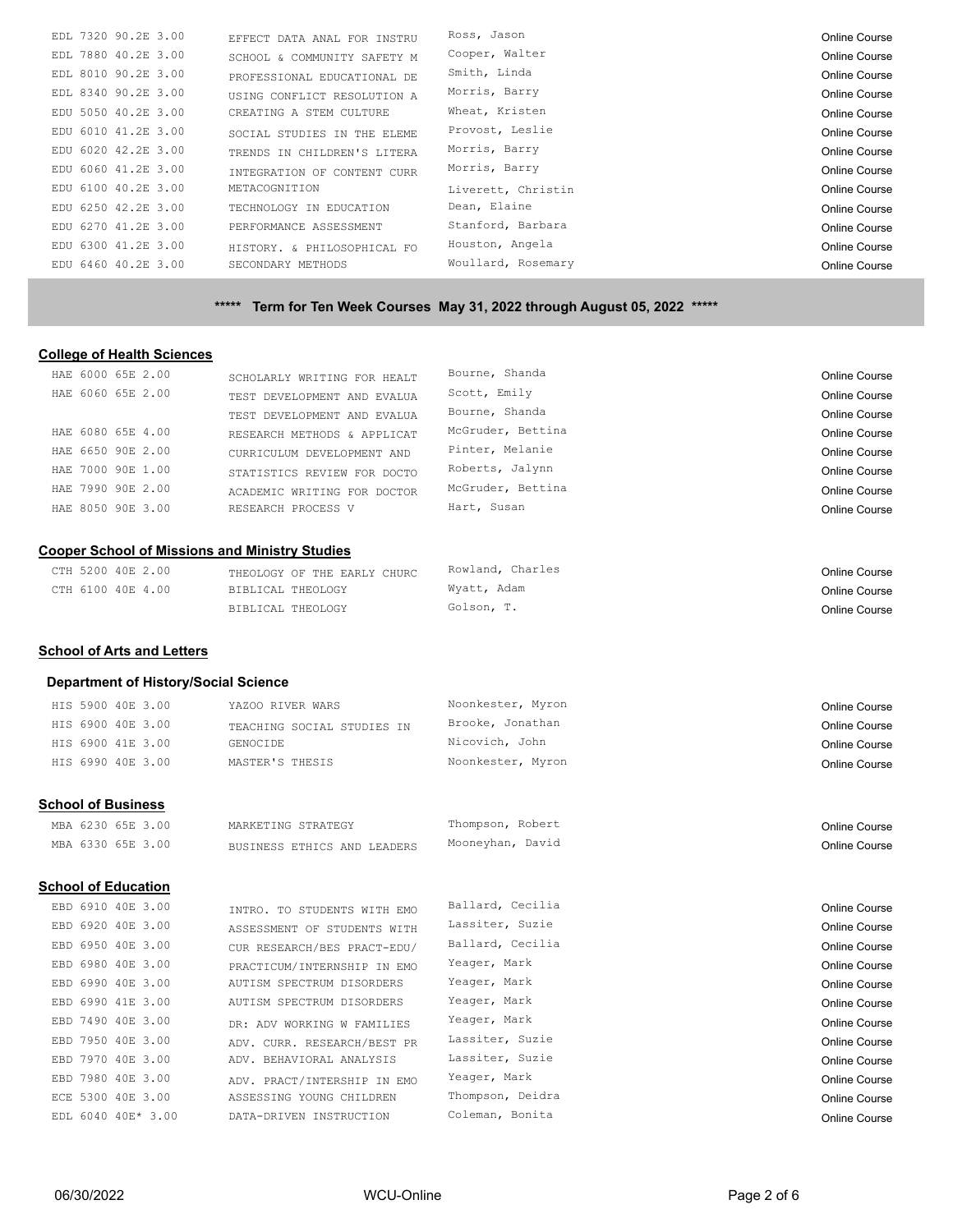| Cooper, Walter<br>EDL 7880 40.2E 3.00<br><b>Online Course</b><br>SCHOOL & COMMUNITY SAFETY M<br>Smith, Linda<br>EDL 8010 90.2E 3.00<br><b>Online Course</b><br>PROFESSIONAL EDUCATIONAL DE<br>Morris, Barry<br>EDL 8340 90.2E 3.00<br>Online Course<br>USING CONFLICT RESOLUTION A<br>Wheat, Kristen<br>EDU 5050 40.2E 3.00<br>CREATING A STEM CULTURE<br>Online Course<br>Provost, Leslie<br>EDU 6010 41.2E 3.00<br>Online Course<br>SOCIAL STUDIES IN THE ELEME<br>Morris, Barry<br>EDU 6020 42.2E 3.00<br>Online Course<br>TRENDS IN CHILDREN'S LITERA<br>Morris, Barry<br>EDU 6060 41.2E 3.00<br><b>Online Course</b><br>INTEGRATION OF CONTENT CURR<br>EDU 6100 40.2E 3.00<br>METACOGNITION<br>Liverett, Christin<br>Online Course<br>Dean, Elaine<br>EDU 6250 42.2E 3.00<br>TECHNOLOGY IN EDUCATION<br>Online Course<br>Stanford, Barbara<br>EDU 6270 41.2E 3.00<br>PERFORMANCE ASSESSMENT<br>Online Course<br>Houston, Angela<br>EDU 6300 41.2E 3.00<br>Online Course<br>HISTORY. & PHILOSOPHICAL FO<br>Woullard, Rosemary<br>EDU 6460 40.2E 3.00<br>SECONDARY METHODS<br>Online Course | EDL 7320 90.2E 3.00 | EFFECT DATA ANAL FOR INSTRU | Ross, Jason | <b>Online Course</b> |
|------------------------------------------------------------------------------------------------------------------------------------------------------------------------------------------------------------------------------------------------------------------------------------------------------------------------------------------------------------------------------------------------------------------------------------------------------------------------------------------------------------------------------------------------------------------------------------------------------------------------------------------------------------------------------------------------------------------------------------------------------------------------------------------------------------------------------------------------------------------------------------------------------------------------------------------------------------------------------------------------------------------------------------------------------------------------------------------------|---------------------|-----------------------------|-------------|----------------------|
|                                                                                                                                                                                                                                                                                                                                                                                                                                                                                                                                                                                                                                                                                                                                                                                                                                                                                                                                                                                                                                                                                                |                     |                             |             |                      |
|                                                                                                                                                                                                                                                                                                                                                                                                                                                                                                                                                                                                                                                                                                                                                                                                                                                                                                                                                                                                                                                                                                |                     |                             |             |                      |
|                                                                                                                                                                                                                                                                                                                                                                                                                                                                                                                                                                                                                                                                                                                                                                                                                                                                                                                                                                                                                                                                                                |                     |                             |             |                      |
|                                                                                                                                                                                                                                                                                                                                                                                                                                                                                                                                                                                                                                                                                                                                                                                                                                                                                                                                                                                                                                                                                                |                     |                             |             |                      |
|                                                                                                                                                                                                                                                                                                                                                                                                                                                                                                                                                                                                                                                                                                                                                                                                                                                                                                                                                                                                                                                                                                |                     |                             |             |                      |
|                                                                                                                                                                                                                                                                                                                                                                                                                                                                                                                                                                                                                                                                                                                                                                                                                                                                                                                                                                                                                                                                                                |                     |                             |             |                      |
|                                                                                                                                                                                                                                                                                                                                                                                                                                                                                                                                                                                                                                                                                                                                                                                                                                                                                                                                                                                                                                                                                                |                     |                             |             |                      |
|                                                                                                                                                                                                                                                                                                                                                                                                                                                                                                                                                                                                                                                                                                                                                                                                                                                                                                                                                                                                                                                                                                |                     |                             |             |                      |
|                                                                                                                                                                                                                                                                                                                                                                                                                                                                                                                                                                                                                                                                                                                                                                                                                                                                                                                                                                                                                                                                                                |                     |                             |             |                      |
|                                                                                                                                                                                                                                                                                                                                                                                                                                                                                                                                                                                                                                                                                                                                                                                                                                                                                                                                                                                                                                                                                                |                     |                             |             |                      |
|                                                                                                                                                                                                                                                                                                                                                                                                                                                                                                                                                                                                                                                                                                                                                                                                                                                                                                                                                                                                                                                                                                |                     |                             |             |                      |
|                                                                                                                                                                                                                                                                                                                                                                                                                                                                                                                                                                                                                                                                                                                                                                                                                                                                                                                                                                                                                                                                                                |                     |                             |             |                      |

**\*\*\*\*\* Term for Ten Week Courses May 31, 2022 through August 05, 2022 \*\*\*\*\***

## **College of Health Sciences**

| HAE 6000 65E 2.00                                     | SCHOLARLY WRITING FOR HEALT | Bourne, Shanda    | <b>Online Course</b> |
|-------------------------------------------------------|-----------------------------|-------------------|----------------------|
| HAE 6060 65E 2.00                                     | TEST DEVELOPMENT AND EVALUA | Scott, Emily      | <b>Online Course</b> |
|                                                       | TEST DEVELOPMENT AND EVALUA | Bourne, Shanda    | <b>Online Course</b> |
| HAE 6080 65E 4.00                                     | RESEARCH METHODS & APPLICAT | McGruder, Bettina | <b>Online Course</b> |
| HAE 6650 90E 2.00                                     | CURRICULUM DEVELOPMENT AND  | Pinter, Melanie   | <b>Online Course</b> |
| HAE 7000 90E 1.00                                     | STATISTICS REVIEW FOR DOCTO | Roberts, Jalynn   | <b>Online Course</b> |
| HAE 7990 90E 2.00                                     | ACADEMIC WRITING FOR DOCTOR | McGruder, Bettina | Online Course        |
| HAE 8050 90E 3.00                                     | RESEARCH PROCESS V          | Hart, Susan       | Online Course        |
| <b>Cooper School of Missions and Ministry Studies</b> |                             |                   |                      |
| CTH 5200 40E 2.00                                     | THEOLOGY OF THE EARLY CHURC | Rowland, Charles  | <b>Online Course</b> |
| CTH 6100 40E 4.00                                     | BIBLICAL THEOLOGY           | Wyatt, Adam       | <b>Online Course</b> |
|                                                       | BIBLICAL THEOLOGY           | Golson, T.        | <b>Online Course</b> |
|                                                       |                             |                   |                      |
| <b>School of Arts and Letters</b>                     |                             |                   |                      |
| <b>Department of History/Social Science</b>           |                             |                   |                      |
| HIS 5900 40E 3.00                                     | YAZOO RIVER WARS            | Noonkester, Myron | <b>Online Course</b> |
| HIS 6900 40E 3.00                                     | TEACHING SOCIAL STUDIES IN  | Brooke, Jonathan  | <b>Online Course</b> |
| HIS 6900 41E 3.00                                     | GENOCIDE                    | Nicovich, John    | <b>Online Course</b> |
| HIS 6990 40E 3.00                                     | MASTER'S THESIS             | Noonkester, Myron | Online Course        |
| <b>School of Business</b>                             |                             |                   |                      |
| MBA 6230 65E 3.00                                     | MARKETING STRATEGY          | Thompson, Robert  | <b>Online Course</b> |
| MBA 6330 65E 3.00                                     | BUSINESS ETHICS AND LEADERS | Mooneyhan, David  | <b>Online Course</b> |
|                                                       |                             |                   |                      |
| <b>School of Education</b>                            |                             |                   |                      |
| EBD 6910 40E 3.00                                     | INTRO. TO STUDENTS WITH EMO | Ballard, Cecilia  | <b>Online Course</b> |
| EBD 6920 40E 3.00                                     | ASSESSMENT OF STUDENTS WITH | Lassiter, Suzie   | <b>Online Course</b> |
| EBD 6950 40E 3.00                                     | CUR RESEARCH/BES PRACT-EDU/ | Ballard, Cecilia  | Online Course        |
| EBD 6980 40E 3.00                                     | PRACTICUM/INTERNSHIP IN EMO | Yeager, Mark      | <b>Online Course</b> |
| EBD 6990 40E 3.00                                     | AUTISM SPECTRUM DISORDERS   | Yeager, Mark      | <b>Online Course</b> |
| EBD 6990 41E 3.00                                     | AUTISM SPECTRUM DISORDERS   | Yeager, Mark      | <b>Online Course</b> |
| EBD 7490 40E 3.00                                     | DR: ADV WORKING W FAMILIES  | Yeager, Mark      | <b>Online Course</b> |

EBD 7950 40E 3.00 ADV. CURR. RESEARCH/BEST PR<sup>Lassiter, Suzie Computer of Contemporary Conline Course</sup>

EBD 7970 40E 3.00 ADV. BEHAVIORAL ANALYSIS Lassiter, Suzie Course Conse EBD 7980 40E 3.00 ADV. PRACT/INTERSHIP IN EMO<sup>Yeager,</sup> Mark and the Course online Course<br>ECE 5300 40E 3.00 ASSESSING YOUNG CHILDREN Thompson, Deidra ECE 5300 40E 3.00 ASSESSING YOUNG CHILDREN Thompson, Deidra **Cause Course Course** Conline Course EDL 6040 40E\* 3.00 DATA-DRIVEN INSTRUCTION Coleman, Bonita Course Content Course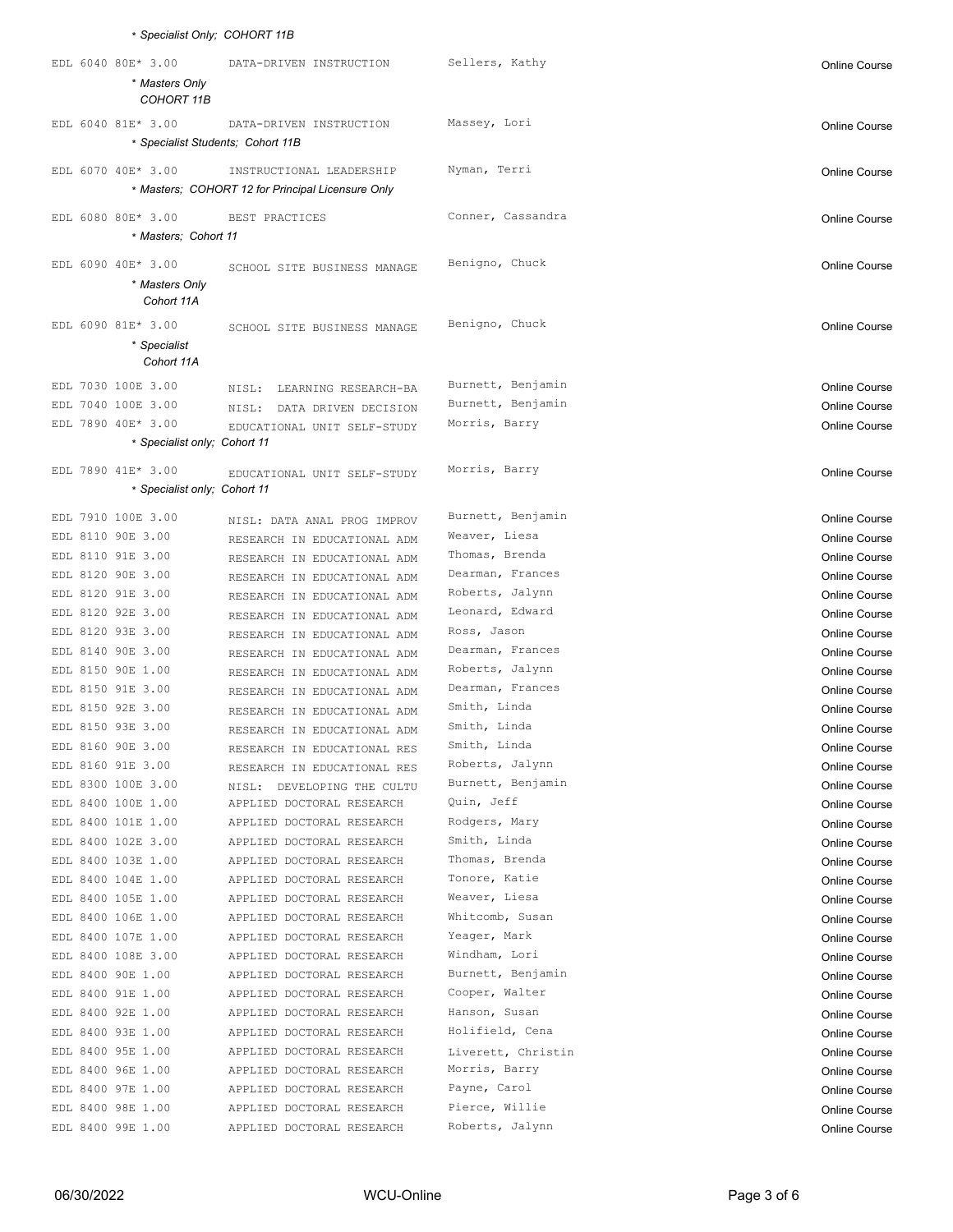| EDL 6040 80E* 3.00                | DATA-DRIVEN INSTRUCTION                           | Sellers, Kathy     | Online Course        |
|-----------------------------------|---------------------------------------------------|--------------------|----------------------|
| * Masters Only                    |                                                   |                    |                      |
| COHORT 11B                        |                                                   |                    |                      |
| EDL 6040 81E* 3.00                | DATA-DRIVEN INSTRUCTION                           | Massey, Lori       |                      |
| * Specialist Students; Cohort 11B |                                                   |                    | <b>Online Course</b> |
|                                   |                                                   |                    |                      |
| EDL 6070 40E* 3.00                | INSTRUCTIONAL LEADERSHIP                          | Nyman, Terri       | <b>Online Course</b> |
|                                   | * Masters; COHORT 12 for Principal Licensure Only |                    |                      |
| EDL 6080 80E* 3.00                | BEST PRACTICES                                    | Conner, Cassandra  | <b>Online Course</b> |
| * Masters; Cohort 11              |                                                   |                    |                      |
|                                   |                                                   |                    |                      |
| EDL 6090 40E* 3.00                | SCHOOL SITE BUSINESS MANAGE                       | Benigno, Chuck     | <b>Online Course</b> |
| * Masters Only                    |                                                   |                    |                      |
| Cohort 11A                        |                                                   |                    |                      |
| EDL 6090 81E* 3.00                | SCHOOL SITE BUSINESS MANAGE                       | Benigno, Chuck     | <b>Online Course</b> |
| * Specialist                      |                                                   |                    |                      |
| Cohort 11A                        |                                                   |                    |                      |
| EDL 7030 100E 3.00                | LEARNING RESEARCH-BA<br>NISL:                     | Burnett, Benjamin  | <b>Online Course</b> |
| EDL 7040 100E 3.00                | NISL: DATA DRIVEN DECISION                        | Burnett, Benjamin  | <b>Online Course</b> |
| EDL 7890 40E* 3.00                | EDUCATIONAL UNIT SELF-STUDY                       | Morris, Barry      | <b>Online Course</b> |
| * Specialist only; Cohort 11      |                                                   |                    |                      |
|                                   |                                                   | Morris, Barry      |                      |
| EDL 7890 41E* 3.00                | EDUCATIONAL UNIT SELF-STUDY                       |                    | <b>Online Course</b> |
| * Specialist only; Cohort 11      |                                                   |                    |                      |
| EDL 7910 100E 3.00                | NISL: DATA ANAL PROG IMPROV                       | Burnett, Benjamin  | <b>Online Course</b> |
| EDL 8110 90E 3.00                 | RESEARCH IN EDUCATIONAL ADM                       | Weaver, Liesa      | <b>Online Course</b> |
| EDL 8110 91E 3.00                 | RESEARCH IN EDUCATIONAL ADM                       | Thomas, Brenda     | <b>Online Course</b> |
| EDL 8120 90E 3.00                 | RESEARCH IN EDUCATIONAL ADM                       | Dearman, Frances   | <b>Online Course</b> |
| EDL 8120 91E 3.00                 | RESEARCH IN EDUCATIONAL ADM                       | Roberts, Jalynn    | <b>Online Course</b> |
| EDL 8120 92E 3.00                 | RESEARCH IN EDUCATIONAL ADM                       | Leonard, Edward    | <b>Online Course</b> |
| EDL 8120 93E 3.00                 | RESEARCH IN EDUCATIONAL ADM                       | Ross, Jason        | <b>Online Course</b> |
| EDL 8140 90E 3.00                 | RESEARCH IN EDUCATIONAL ADM                       | Dearman, Frances   | <b>Online Course</b> |
| EDL 8150 90E 1.00                 | RESEARCH IN EDUCATIONAL ADM                       | Roberts, Jalynn    | <b>Online Course</b> |
| EDL 8150 91E 3.00                 | RESEARCH IN EDUCATIONAL ADM                       | Dearman, Frances   | <b>Online Course</b> |
| EDL 8150 92E 3.00                 | RESEARCH IN EDUCATIONAL ADM                       | Smith, Linda       | <b>Online Course</b> |
| EDL 8150 93E 3.00                 | RESEARCH IN EDUCATIONAL ADM                       | Smith, Linda       | <b>Online Course</b> |
| EDL 8160 90E 3.00                 | RESEARCH IN EDUCATIONAL RES                       | Smith, Linda       | <b>Online Course</b> |
| EDL 8160 91E 3.00                 | RESEARCH IN EDUCATIONAL RES                       | Roberts, Jalynn    | <b>Online Course</b> |
| EDL 8300 100E 3.00                | NISL: DEVELOPING THE CULTU                        | Burnett, Benjamin  | <b>Online Course</b> |
| EDL 8400 100E 1.00                | APPLIED DOCTORAL RESEARCH                         | Quin, Jeff         | <b>Online Course</b> |
| EDL 8400 101E 1.00                | APPLIED DOCTORAL RESEARCH                         | Rodgers, Mary      | Online Course        |
| EDL 8400 102E 3.00                | APPLIED DOCTORAL RESEARCH                         | Smith, Linda       | Online Course        |
| EDL 8400 103E 1.00                | APPLIED DOCTORAL RESEARCH                         | Thomas, Brenda     | <b>Online Course</b> |
| EDL 8400 104E 1.00                | APPLIED DOCTORAL RESEARCH                         | Tonore, Katie      | Online Course        |
| EDL 8400 105E 1.00                | APPLIED DOCTORAL RESEARCH                         | Weaver, Liesa      | <b>Online Course</b> |
| EDL 8400 106E 1.00                | APPLIED DOCTORAL RESEARCH                         | Whitcomb, Susan    | <b>Online Course</b> |
| EDL 8400 107E 1.00                | APPLIED DOCTORAL RESEARCH                         | Yeager, Mark       | <b>Online Course</b> |
| EDL 8400 108E 3.00                | APPLIED DOCTORAL RESEARCH                         | Windham, Lori      | <b>Online Course</b> |
| EDL 8400 90E 1.00                 | APPLIED DOCTORAL RESEARCH                         | Burnett, Benjamin  | <b>Online Course</b> |
| EDL 8400 91E 1.00                 | APPLIED DOCTORAL RESEARCH                         | Cooper, Walter     | <b>Online Course</b> |
| EDL 8400 92E 1.00                 | APPLIED DOCTORAL RESEARCH                         | Hanson, Susan      | <b>Online Course</b> |
| EDL 8400 93E 1.00                 | APPLIED DOCTORAL RESEARCH                         | Holifield, Cena    | <b>Online Course</b> |
| EDL 8400 95E 1.00                 | APPLIED DOCTORAL RESEARCH                         | Liverett, Christin | <b>Online Course</b> |
| EDL 8400 96E 1.00                 | APPLIED DOCTORAL RESEARCH                         | Morris, Barry      | <b>Online Course</b> |
| EDL 8400 97E 1.00                 | APPLIED DOCTORAL RESEARCH                         | Payne, Carol       | <b>Online Course</b> |
| EDL 8400 98E 1.00                 | APPLIED DOCTORAL RESEARCH                         | Pierce, Willie     | <b>Online Course</b> |
| EDL 8400 99E 1.00                 | APPLIED DOCTORAL RESEARCH                         | Roberts, Jalynn    | Online Course        |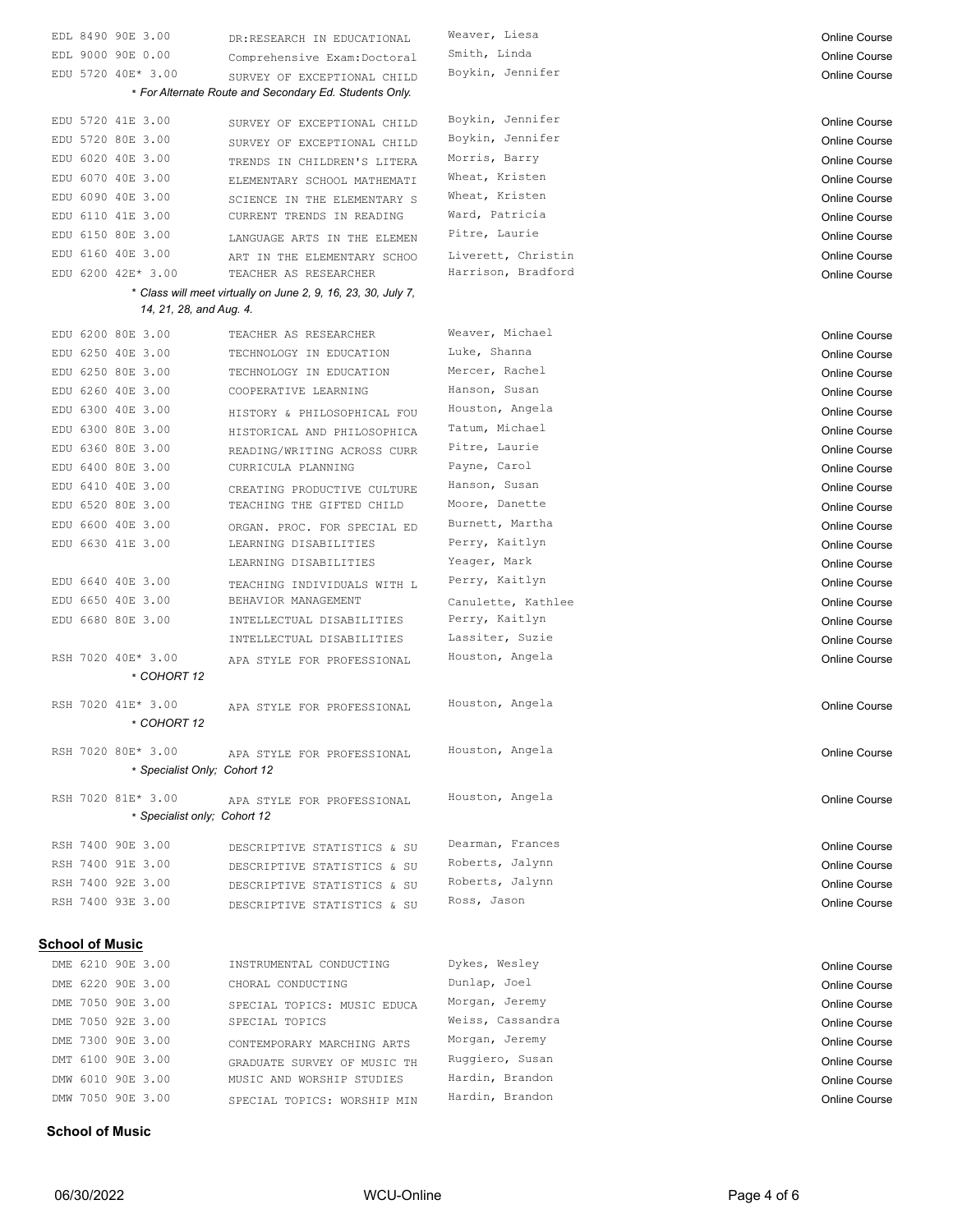| EDL 8490 90E 3.00                                  | DR: RESEARCH IN EDUCATIONAL                                   | Weaver, Liesa                            | <b>Online Course</b>                         |
|----------------------------------------------------|---------------------------------------------------------------|------------------------------------------|----------------------------------------------|
| EDL 9000 90E 0.00                                  | Comprehensive Exam: Doctoral                                  | Smith, Linda                             | <b>Online Course</b>                         |
| EDU 5720 40E* 3.00                                 | SURVEY OF EXCEPTIONAL CHILD                                   | Boykin, Jennifer                         | <b>Online Course</b>                         |
|                                                    | * For Alternate Route and Secondary Ed. Students Only.        |                                          |                                              |
| EDU 5720 41E 3.00                                  |                                                               | Boykin, Jennifer                         | <b>Online Course</b>                         |
| EDU 5720 80E 3.00                                  | SURVEY OF EXCEPTIONAL CHILD                                   | Boykin, Jennifer                         | <b>Online Course</b>                         |
| EDU 6020 40E 3.00                                  | SURVEY OF EXCEPTIONAL CHILD                                   | Morris, Barry                            |                                              |
|                                                    | TRENDS IN CHILDREN'S LITERA                                   | Wheat, Kristen                           | <b>Online Course</b>                         |
| EDU 6070 40E 3.00                                  | ELEMENTARY SCHOOL MATHEMATI                                   | Wheat, Kristen                           | <b>Online Course</b>                         |
| EDU 6090 40E 3.00                                  | SCIENCE IN THE ELEMENTARY S                                   |                                          | <b>Online Course</b>                         |
| EDU 6110 41E 3.00                                  | CURRENT TRENDS IN READING                                     | Ward, Patricia                           | <b>Online Course</b>                         |
| EDU 6150 80E 3.00                                  | LANGUAGE ARTS IN THE ELEMEN                                   | Pitre, Laurie                            | <b>Online Course</b>                         |
| EDU 6160 40E 3.00<br>EDU 6200 42E* 3.00            | ART IN THE ELEMENTARY SCHOO<br>TEACHER AS RESEARCHER          | Liverett, Christin<br>Harrison, Bradford | <b>Online Course</b><br><b>Online Course</b> |
|                                                    | * Class will meet virtually on June 2, 9, 16, 23, 30, July 7, |                                          |                                              |
| 14, 21, 28, and Aug. 4.                            |                                                               |                                          |                                              |
| EDU 6200 80E 3.00                                  | TEACHER AS RESEARCHER                                         | Weaver, Michael                          | Online Course                                |
| EDU 6250 40E 3.00                                  | TECHNOLOGY IN EDUCATION                                       | Luke, Shanna                             | <b>Online Course</b>                         |
| EDU 6250 80E 3.00                                  | TECHNOLOGY IN EDUCATION                                       | Mercer, Rachel                           | Online Course                                |
| EDU 6260 40E 3.00                                  | COOPERATIVE LEARNING                                          | Hanson, Susan                            | Online Course                                |
| EDU 6300 40E 3.00                                  | HISTORY & PHILOSOPHICAL FOU                                   | Houston, Angela                          | <b>Online Course</b>                         |
| EDU 6300 80E 3.00                                  | HISTORICAL AND PHILOSOPHICA                                   | Tatum, Michael                           | <b>Online Course</b>                         |
| EDU 6360 80E 3.00                                  | READING/WRITING ACROSS CURR                                   | Pitre, Laurie                            | <b>Online Course</b>                         |
| EDU 6400 80E 3.00                                  | CURRICULA PLANNING                                            | Payne, Carol                             | <b>Online Course</b>                         |
| EDU 6410 40E 3.00                                  | CREATING PRODUCTIVE CULTURE                                   | Hanson, Susan                            | <b>Online Course</b>                         |
| EDU 6520 80E 3.00                                  | TEACHING THE GIFTED CHILD                                     | Moore, Danette                           | <b>Online Course</b>                         |
| EDU 6600 40E 3.00                                  | ORGAN. PROC. FOR SPECIAL ED                                   | Burnett, Martha                          | <b>Online Course</b>                         |
| EDU 6630 41E 3.00                                  | LEARNING DISABILITIES                                         | Perry, Kaitlyn                           | <b>Online Course</b>                         |
|                                                    | LEARNING DISABILITIES                                         | Yeager, Mark                             |                                              |
| EDU 6640 40E 3.00                                  |                                                               | Perry, Kaitlyn                           | <b>Online Course</b>                         |
|                                                    | TEACHING INDIVIDUALS WITH L                                   |                                          | <b>Online Course</b>                         |
| EDU 6650 40E 3.00                                  | BEHAVIOR MANAGEMENT                                           | Canulette, Kathlee                       | <b>Online Course</b>                         |
| EDU 6680 80E 3.00                                  | INTELLECTUAL DISABILITIES                                     | Perry, Kaitlyn                           | Online Course                                |
|                                                    | INTELLECTUAL DISABILITIES                                     | Lassiter, Suzie                          | Online Course                                |
| RSH 7020 40E* 3.00                                 | APA STYLE FOR PROFESSIONAL                                    | Houston, Angela                          | Online Course                                |
| * COHORT 12                                        |                                                               |                                          |                                              |
| RSH 7020 41E* 3.00<br>* COHORT 12                  | APA STYLE FOR PROFESSIONAL                                    | Houston, Angela                          | <b>Online Course</b>                         |
|                                                    |                                                               |                                          |                                              |
| RSH 7020 80E* 3.00<br>* Specialist Only; Cohort 12 | APA STYLE FOR PROFESSIONAL                                    | Houston, Angela                          | Online Course                                |
|                                                    |                                                               |                                          |                                              |
| RSH 7020 81E* 3.00                                 | APA STYLE FOR PROFESSIONAL                                    | Houston, Angela                          | <b>Online Course</b>                         |
| * Specialist only; Cohort 12                       |                                                               |                                          |                                              |
| RSH 7400 90E 3.00                                  | DESCRIPTIVE STATISTICS & SU                                   | Dearman, Frances                         | <b>Online Course</b>                         |
| RSH 7400 91E 3.00                                  | DESCRIPTIVE STATISTICS & SU                                   | Roberts, Jalynn                          | <b>Online Course</b>                         |
| RSH 7400 92E 3.00                                  | DESCRIPTIVE STATISTICS & SU                                   | Roberts, Jalynn                          | <b>Online Course</b>                         |
| RSH 7400 93E 3.00                                  | DESCRIPTIVE STATISTICS & SU                                   | Ross, Jason                              | <b>Online Course</b>                         |
|                                                    |                                                               |                                          |                                              |
| <u>School of Music</u>                             |                                                               |                                          |                                              |
| DME 6210 90E 3.00                                  | INSTRUMENTAL CONDUCTING                                       | Dykes, Wesley                            | <b>Online Course</b>                         |
| DME 6220 90E 3.00                                  | CHORAL CONDUCTING                                             | Dunlap, Joel                             | Online Course                                |
| DME 7050 90E 3.00                                  |                                                               | Morgan, Jeremy                           | Online Course                                |
| DME 7050 92E 3.00                                  | SPECIAL TOPICS: MUSIC EDUCA<br>SPECIAL TOPICS                 | Weiss, Cassandra                         | Online Course                                |
| DME 7300 90E 3.00                                  |                                                               | Morgan, Jeremy                           |                                              |
| DMT 6100 90E 3.00                                  | CONTEMPORARY MARCHING ARTS                                    | Ruggiero, Susan                          | <b>Online Course</b>                         |
|                                                    | GRADUATE SURVEY OF MUSIC TH                                   | Hardin, Brandon                          | Online Course                                |
| DMW 6010 90E 3.00                                  | MUSIC AND WORSHIP STUDIES                                     | Hardin, Brandon                          | <b>Online Course</b>                         |
| DMW 7050 90E 3.00                                  | SPECIAL TOPICS: WORSHIP MIN                                   |                                          | Online Course                                |

**School of Music**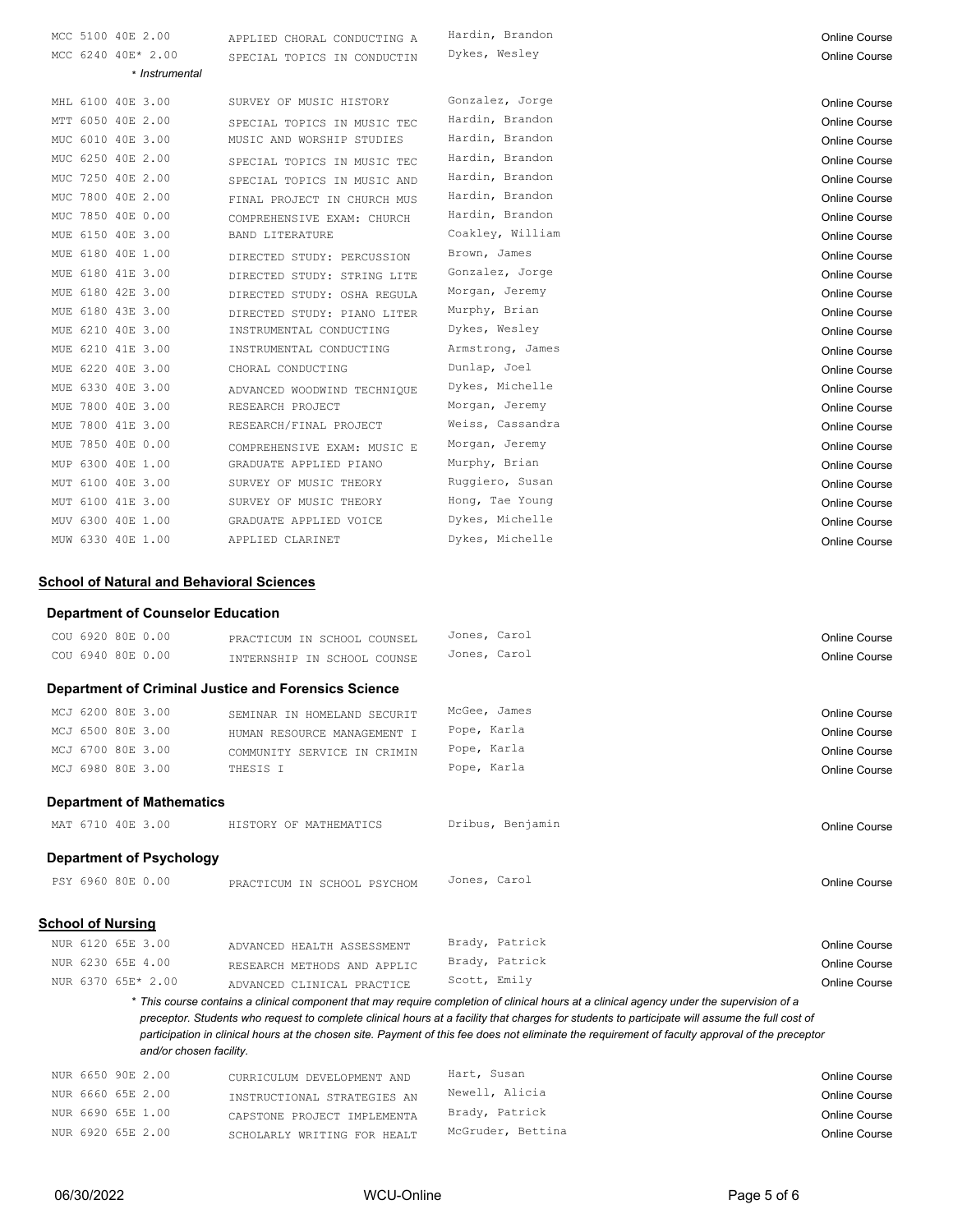| MCC 5100 40E 2.00                                | APPLIED CHORAL CONDUCTING A                                 | Hardin, Brandon  | <b>Online Course</b> |
|--------------------------------------------------|-------------------------------------------------------------|------------------|----------------------|
| MCC 6240 40E* 2.00                               | SPECIAL TOPICS IN CONDUCTIN                                 | Dykes, Wesley    | <b>Online Course</b> |
| * Instrumental                                   |                                                             |                  |                      |
| MHL 6100 40E 3.00                                | SURVEY OF MUSIC HISTORY                                     | Gonzalez, Jorge  | <b>Online Course</b> |
| MTT 6050 40E 2.00                                | SPECIAL TOPICS IN MUSIC TEC                                 | Hardin, Brandon  | <b>Online Course</b> |
| MUC 6010 40E 3.00                                | MUSIC AND WORSHIP STUDIES                                   | Hardin, Brandon  | <b>Online Course</b> |
| MUC 6250 40E 2.00                                | SPECIAL TOPICS IN MUSIC TEC                                 | Hardin, Brandon  | <b>Online Course</b> |
| MUC 7250 40E 2.00                                | SPECIAL TOPICS IN MUSIC AND                                 | Hardin, Brandon  | <b>Online Course</b> |
| MUC 7800 40E 2.00                                | FINAL PROJECT IN CHURCH MUS                                 | Hardin, Brandon  | <b>Online Course</b> |
| MUC 7850 40E 0.00                                | COMPREHENSIVE EXAM: CHURCH                                  | Hardin, Brandon  | <b>Online Course</b> |
| MUE 6150 40E 3.00                                | BAND LITERATURE                                             | Coakley, William | <b>Online Course</b> |
| MUE 6180 40E 1.00                                | DIRECTED STUDY: PERCUSSION                                  | Brown, James     | <b>Online Course</b> |
| MUE 6180 41E 3.00                                | DIRECTED STUDY: STRING LITE                                 | Gonzalez, Jorge  | <b>Online Course</b> |
| MUE 6180 42E 3.00                                | DIRECTED STUDY: OSHA REGULA                                 | Morgan, Jeremy   | <b>Online Course</b> |
| 6180 43E 3.00<br>MUE                             | DIRECTED STUDY: PIANO LITER                                 | Murphy, Brian    | <b>Online Course</b> |
| 6210 40E 3.00<br>MUE                             | INSTRUMENTAL CONDUCTING                                     | Dykes, Wesley    | <b>Online Course</b> |
| MUE 6210 41E 3.00                                | INSTRUMENTAL CONDUCTING                                     | Armstrong, James | <b>Online Course</b> |
| MUE 6220 40E 3.00                                | CHORAL CONDUCTING                                           | Dunlap, Joel     | Online Course        |
| 6330 40E 3.00<br>MUE                             | ADVANCED WOODWIND TECHNIQUE                                 | Dykes, Michelle  | <b>Online Course</b> |
| 7800 40E 3.00<br>MUE                             | RESEARCH PROJECT                                            | Morgan, Jeremy   | <b>Online Course</b> |
| 7800 41E 3.00<br>MUE                             | RESEARCH/FINAL PROJECT                                      | Weiss, Cassandra | <b>Online Course</b> |
| 7850 40E 0.00<br>MUE                             | COMPREHENSIVE EXAM: MUSIC E                                 | Morgan, Jeremy   | <b>Online Course</b> |
| MUP 6300 40E 1.00                                | GRADUATE APPLIED PIANO                                      | Murphy, Brian    | <b>Online Course</b> |
| MUT 6100 40E 3.00                                | SURVEY OF MUSIC THEORY                                      | Ruggiero, Susan  | <b>Online Course</b> |
| MUT 6100 41E 3.00                                | SURVEY OF MUSIC THEORY                                      | Hong, Tae Young  | <b>Online Course</b> |
| MUV 6300 40E 1.00                                | GRADUATE APPLIED VOICE                                      | Dykes, Michelle  | <b>Online Course</b> |
| MUW 6330 40E 1.00                                | APPLIED CLARINET                                            | Dykes, Michelle  | <b>Online Course</b> |
|                                                  |                                                             |                  |                      |
| <b>School of Natural and Behavioral Sciences</b> |                                                             |                  |                      |
| <b>Department of Counselor Education</b>         |                                                             |                  |                      |
| COU 6920 80E 0.00                                | PRACTICUM IN SCHOOL COUNSEL                                 | Jones, Carol     | Online Course        |
| COU 6940 80E 0.00                                | INTERNSHIP IN SCHOOL COUNSE                                 | Jones, Carol     | <b>Online Course</b> |
|                                                  | <b>Department of Criminal Justice and Forensics Science</b> |                  |                      |
| MCJ 6200 80E 3.00                                | SEMINAR IN HOMELAND SECURIT                                 | McGee, James     | Online Course        |
| MCJ 6500 80E 3.00                                | HUMAN RESOURCE MANAGEMENT I                                 | Pope, Karla      | Online Course        |
| MCJ 6700 80E 3.00                                | COMMUNITY SERVICE IN CRIMIN                                 | Pope, Karla      | <b>Online Course</b> |
| MCJ 6980 80E 3.00                                | THESIS I                                                    | Pope, Karla      | Online Course        |
|                                                  |                                                             |                  |                      |
| <b>Department of Mathematics</b>                 |                                                             |                  |                      |
| MAT 6710 40E 3.00                                | HISTORY OF MATHEMATICS                                      | Dribus, Benjamin | Online Course        |
| <b>Department of Psychology</b>                  |                                                             |                  |                      |
| PSY 6960 80E 0.00                                | PRACTICUM IN SCHOOL PSYCHOM                                 | Jones, Carol     | Online Course        |
|                                                  |                                                             |                  |                      |
| <b>School of Nursing</b>                         |                                                             |                  |                      |

| NUR 6120 65E 3.00  | ADVANCED HEALTH ASSESSMENT  | Brady, Patrick | Online Course        |
|--------------------|-----------------------------|----------------|----------------------|
| NUR 6230 65E 4.00  | RESEARCH METHODS AND APPLIC | Brady, Patrick | <b>Online Course</b> |
| NUR 6370 65E* 2.00 | ADVANCED CLINICAL PRACTICE  | Scott, Emily   | Online Course        |

\* *This course contains a clinical component that may require completion of clinical hours at a clinical agency under the supervision of a preceptor. Students who request to complete clinical hours at a facility that charges for students to participate will assume the full cost of participation in clinical hours at the chosen site. Payment of this fee does not eliminate the requirement of faculty approval of the preceptor and/or chosen facility.*

| NUR 6650 90E 2.00 | CURRICULUM DEVELOPMENT AND  | Hart, Susan       | Online Course |
|-------------------|-----------------------------|-------------------|---------------|
| NUR 6660 65E 2.00 | INSTRUCTIONAL STRATEGIES AN | Newell, Alicia    | Online Course |
| NUR 6690 65E 1.00 | CAPSTONE PROJECT IMPLEMENTA | Brady, Patrick    | Online Course |
| NUR 6920 65E 2.00 | SCHOLARLY WRITING FOR HEALT | McGruder, Bettina | Online Course |
|                   |                             |                   |               |